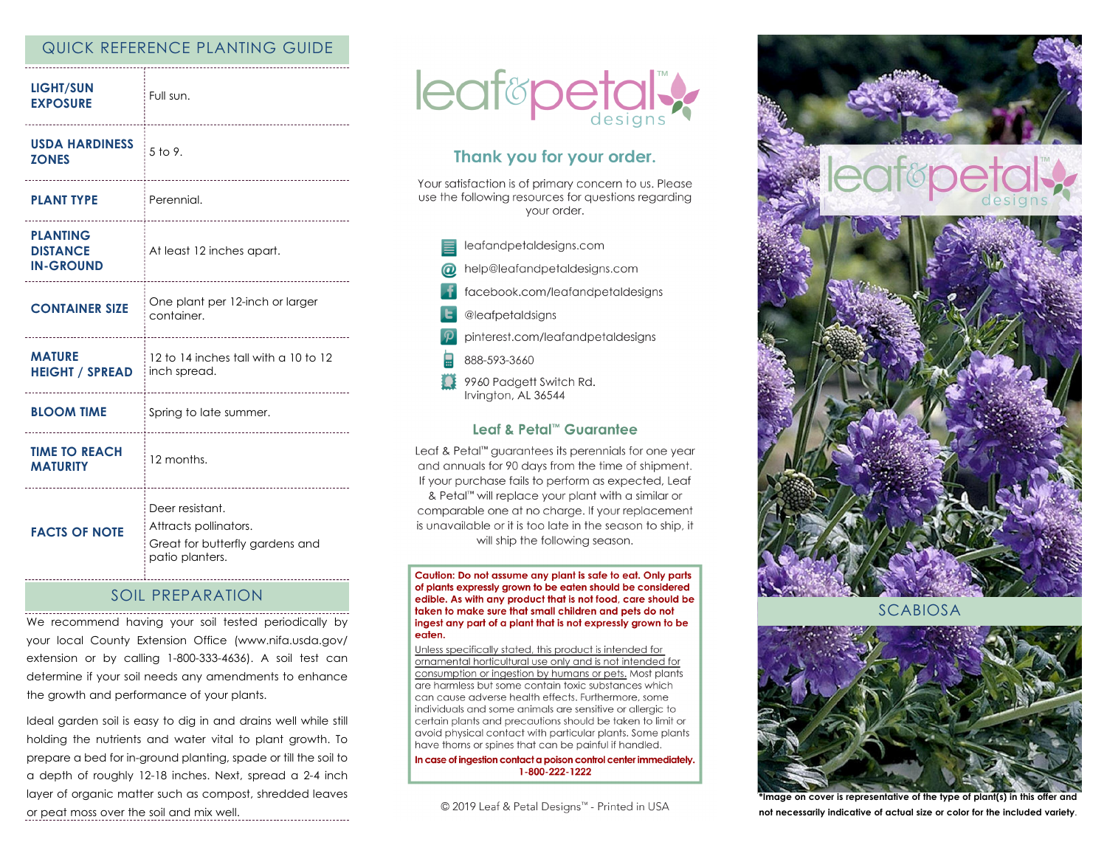# QUICK REFERENCE PLANTING GUIDE

| <b>LIGHT/SUN</b><br><b>EXPOSURE</b>                    | Full sun.<br>-----------------------------                                                     |
|--------------------------------------------------------|------------------------------------------------------------------------------------------------|
| <b>USDA HARDINESS</b><br><b>ZONES</b>                  | 5 to 9.                                                                                        |
| <b>PLANT TYPE</b>                                      | Perennial.                                                                                     |
| <b>PLANTING</b><br><b>DISTANCE</b><br><b>IN-GROUND</b> | At least 12 inches apart.                                                                      |
| <b>CONTAINER SIZE</b>                                  | One plant per 12-inch or larger<br>container.                                                  |
| <b>MATURE</b><br><b>HEIGHT / SPREAD</b>                | 12 to 14 inches tall with a 10 to 12<br>inch spread.<br>-----------------------                |
| <b>BLOOM TIME</b>                                      | Spring to late summer.                                                                         |
| <b>TIME TO REACH</b><br><b>MATURITY</b>                | 12 months.<br>                                                                                 |
| <b>FACTS OF NOTE</b>                                   | Deer resistant.<br>Attracts pollinators.<br>Great for butterfly gardens and<br>patio planters. |

## SOIL PREPARATION

We recommend having your soil tested periodically by your local County Extension Office (www.nifa.usda.gov/ extension or by calling 1-800-333-4636). A soil test can determine if your soil needs any amendments to enhance the growth and performance of your plants.

Ideal garden soil is easy to dig in and drains well while still holding the nutrients and water vital to plant growth. To prepare a bed for in-ground planting, spade or till the soil to a depth of roughly 12-18 inches. Next, spread a 2-4 inch layer of organic matter such as compost, shredded leaves or peat moss over the soil and mix well.



# Thank you for your order.

Your satisfaction is of primary concern to us. Please use the following resources for questions regarding vour order.



#### Leaf & Petal™ Guarantee

Leaf & Petal<sup>™</sup> guarantees its perennials for one year and annuals for 90 days from the time of shipment. If your purchase fails to perform as expected, Leaf & Petal™ will replace your plant with a similar or comparable one at no charge. If your replacement is unavailable or it is too late in the season to ship, it will ship the following season.

Caution: Do not assume any plant is safe to eat. Only parts of plants expressly grown to be eaten should be considered edible. As with any product that is not food, care should be taken to make sure that small children and pets do not ingest any part of a plant that is not expressly grown to be eaten.

Unless specifically stated, this product is intended for ornamental horticultural use only and is not intended for consumption or ingestion by humans or pets. Most plants are harmless but some contain toxic substances which can cause adverse health effects. Furthermore, some individuals and some animals are sensitive or allergic to certain plants and precautions should be taken to limit or avoid physical contact with particular plants. Some plants have thorns or spines that can be painful if handled.

In case of ingestion contact a poison control center immediately. 1-800-222-1222

© 2019 Leaf & Petal Designs™ - Printed in USA



SCABIOSA



**\*Image on cover is representative of the type of plant(s) in this offer and not necessarily indicative of actual size or color for the included variety**.